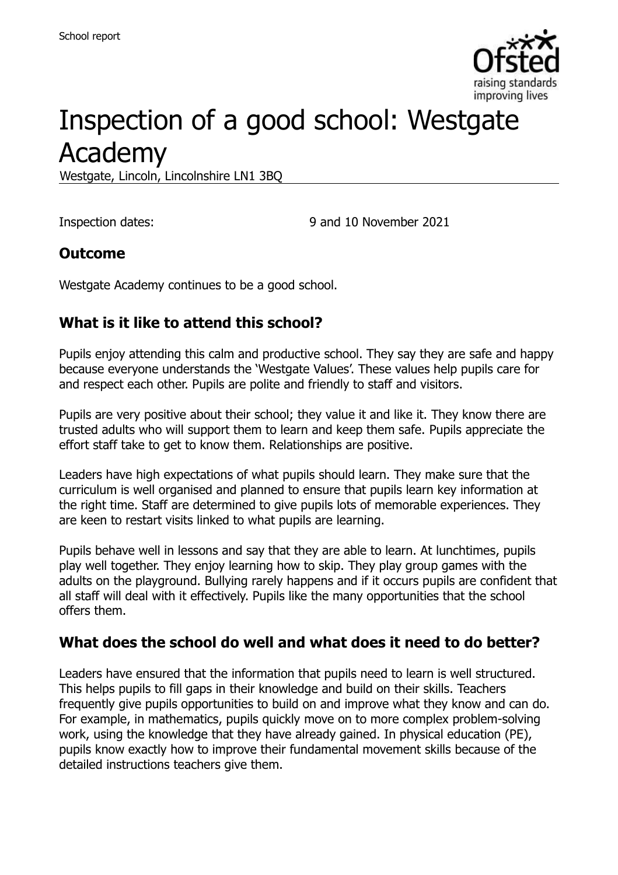

# Inspection of a good school: Westgate Academy

Westgate, Lincoln, Lincolnshire LN1 3BQ

Inspection dates: 9 and 10 November 2021

### **Outcome**

Westgate Academy continues to be a good school.

## **What is it like to attend this school?**

Pupils enjoy attending this calm and productive school. They say they are safe and happy because everyone understands the 'Westgate Values'. These values help pupils care for and respect each other. Pupils are polite and friendly to staff and visitors.

Pupils are very positive about their school; they value it and like it. They know there are trusted adults who will support them to learn and keep them safe. Pupils appreciate the effort staff take to get to know them. Relationships are positive.

Leaders have high expectations of what pupils should learn. They make sure that the curriculum is well organised and planned to ensure that pupils learn key information at the right time. Staff are determined to give pupils lots of memorable experiences. They are keen to restart visits linked to what pupils are learning.

Pupils behave well in lessons and say that they are able to learn. At lunchtimes, pupils play well together. They enjoy learning how to skip. They play group games with the adults on the playground. Bullying rarely happens and if it occurs pupils are confident that all staff will deal with it effectively. Pupils like the many opportunities that the school offers them.

### **What does the school do well and what does it need to do better?**

Leaders have ensured that the information that pupils need to learn is well structured. This helps pupils to fill gaps in their knowledge and build on their skills. Teachers frequently give pupils opportunities to build on and improve what they know and can do. For example, in mathematics, pupils quickly move on to more complex problem-solving work, using the knowledge that they have already gained. In physical education (PE), pupils know exactly how to improve their fundamental movement skills because of the detailed instructions teachers give them.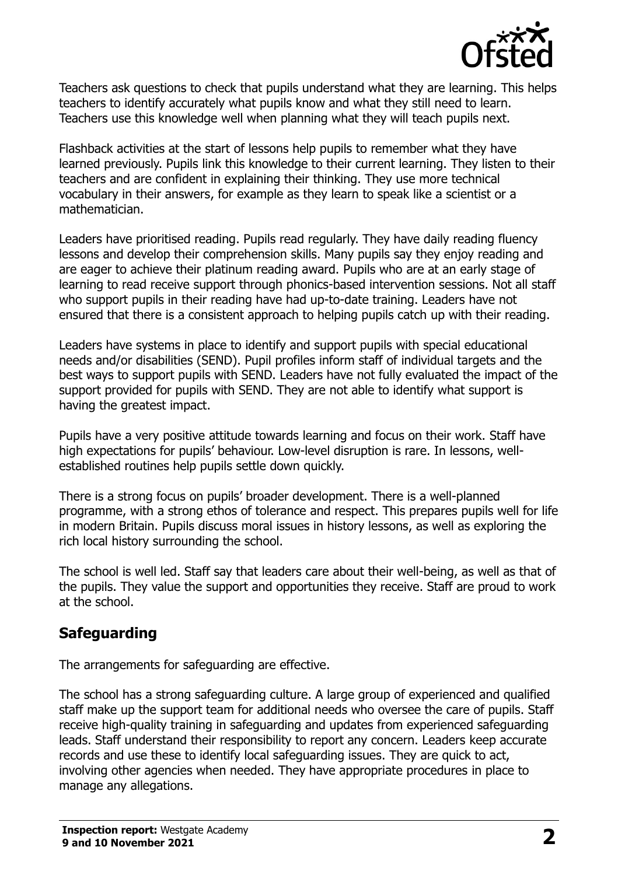

Teachers ask questions to check that pupils understand what they are learning. This helps teachers to identify accurately what pupils know and what they still need to learn. Teachers use this knowledge well when planning what they will teach pupils next.

Flashback activities at the start of lessons help pupils to remember what they have learned previously. Pupils link this knowledge to their current learning. They listen to their teachers and are confident in explaining their thinking. They use more technical vocabulary in their answers, for example as they learn to speak like a scientist or a mathematician.

Leaders have prioritised reading. Pupils read regularly. They have daily reading fluency lessons and develop their comprehension skills. Many pupils say they enjoy reading and are eager to achieve their platinum reading award. Pupils who are at an early stage of learning to read receive support through phonics-based intervention sessions. Not all staff who support pupils in their reading have had up-to-date training. Leaders have not ensured that there is a consistent approach to helping pupils catch up with their reading.

Leaders have systems in place to identify and support pupils with special educational needs and/or disabilities (SEND). Pupil profiles inform staff of individual targets and the best ways to support pupils with SEND. Leaders have not fully evaluated the impact of the support provided for pupils with SEND. They are not able to identify what support is having the greatest impact.

Pupils have a very positive attitude towards learning and focus on their work. Staff have high expectations for pupils' behaviour. Low-level disruption is rare. In lessons, wellestablished routines help pupils settle down quickly.

There is a strong focus on pupils' broader development. There is a well-planned programme, with a strong ethos of tolerance and respect. This prepares pupils well for life in modern Britain. Pupils discuss moral issues in history lessons, as well as exploring the rich local history surrounding the school.

The school is well led. Staff say that leaders care about their well-being, as well as that of the pupils. They value the support and opportunities they receive. Staff are proud to work at the school.

## **Safeguarding**

The arrangements for safeguarding are effective.

The school has a strong safeguarding culture. A large group of experienced and qualified staff make up the support team for additional needs who oversee the care of pupils. Staff receive high-quality training in safeguarding and updates from experienced safeguarding leads. Staff understand their responsibility to report any concern. Leaders keep accurate records and use these to identify local safeguarding issues. They are quick to act, involving other agencies when needed. They have appropriate procedures in place to manage any allegations.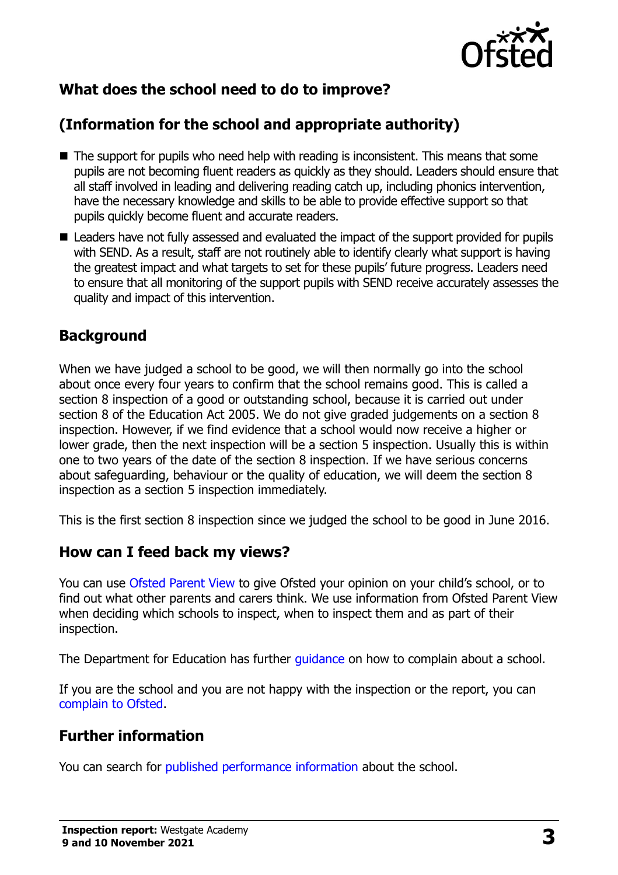

## **What does the school need to do to improve?**

## **(Information for the school and appropriate authority)**

- The support for pupils who need help with reading is inconsistent. This means that some pupils are not becoming fluent readers as quickly as they should. Leaders should ensure that all staff involved in leading and delivering reading catch up, including phonics intervention, have the necessary knowledge and skills to be able to provide effective support so that pupils quickly become fluent and accurate readers.
- Leaders have not fully assessed and evaluated the impact of the support provided for pupils with SEND. As a result, staff are not routinely able to identify clearly what support is having the greatest impact and what targets to set for these pupils' future progress. Leaders need to ensure that all monitoring of the support pupils with SEND receive accurately assesses the quality and impact of this intervention.

#### **Background**

When we have judged a school to be good, we will then normally go into the school about once every four years to confirm that the school remains good. This is called a section 8 inspection of a good or outstanding school, because it is carried out under section 8 of the Education Act 2005. We do not give graded judgements on a section 8 inspection. However, if we find evidence that a school would now receive a higher or lower grade, then the next inspection will be a section 5 inspection. Usually this is within one to two years of the date of the section 8 inspection. If we have serious concerns about safeguarding, behaviour or the quality of education, we will deem the section 8 inspection as a section 5 inspection immediately.

This is the first section 8 inspection since we judged the school to be good in June 2016.

### **How can I feed back my views?**

You can use [Ofsted Parent View](https://parentview.ofsted.gov.uk/) to give Ofsted your opinion on your child's school, or to find out what other parents and carers think. We use information from Ofsted Parent View when deciding which schools to inspect, when to inspect them and as part of their inspection.

The Department for Education has further quidance on how to complain about a school.

If you are the school and you are not happy with the inspection or the report, you can [complain to Ofsted.](https://www.gov.uk/complain-ofsted-report)

## **Further information**

You can search for [published performance information](http://www.compare-school-performance.service.gov.uk/) about the school.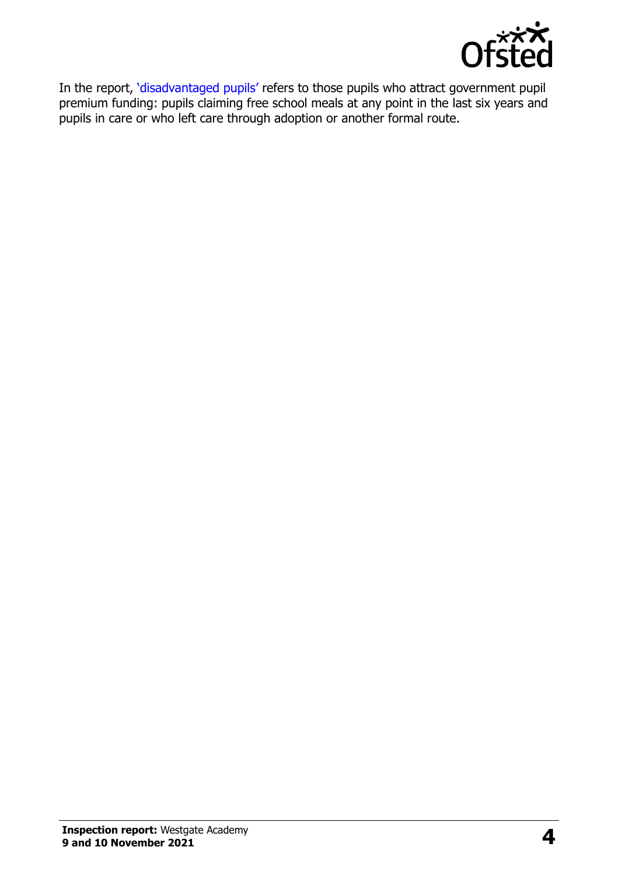

In the report, '[disadvantaged pupils](http://www.gov.uk/guidance/pupil-premium-information-for-schools-and-alternative-provision-settings)' refers to those pupils who attract government pupil premium funding: pupils claiming free school meals at any point in the last six years and pupils in care or who left care through adoption or another formal route.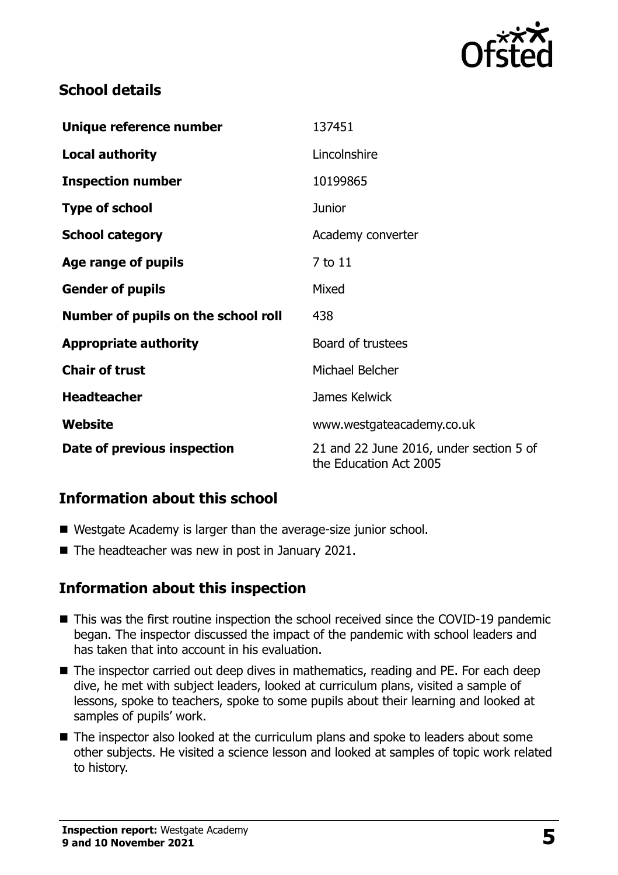

## **School details**

| Unique reference number             | 137451                                                            |
|-------------------------------------|-------------------------------------------------------------------|
| <b>Local authority</b>              | Lincolnshire                                                      |
| <b>Inspection number</b>            | 10199865                                                          |
| <b>Type of school</b>               | <b>Junior</b>                                                     |
| <b>School category</b>              | Academy converter                                                 |
| Age range of pupils                 | 7 to 11                                                           |
| <b>Gender of pupils</b>             | Mixed                                                             |
| Number of pupils on the school roll | 438                                                               |
| <b>Appropriate authority</b>        | Board of trustees                                                 |
| <b>Chair of trust</b>               | Michael Belcher                                                   |
| <b>Headteacher</b>                  | James Kelwick                                                     |
| Website                             | www.westgateacademy.co.uk                                         |
| Date of previous inspection         | 21 and 22 June 2016, under section 5 of<br>the Education Act 2005 |

## **Information about this school**

- Westgate Academy is larger than the average-size junior school.
- The headteacher was new in post in January 2021.

### **Information about this inspection**

- This was the first routine inspection the school received since the COVID-19 pandemic began. The inspector discussed the impact of the pandemic with school leaders and has taken that into account in his evaluation.
- The inspector carried out deep dives in mathematics, reading and PE. For each deep dive, he met with subject leaders, looked at curriculum plans, visited a sample of lessons, spoke to teachers, spoke to some pupils about their learning and looked at samples of pupils' work.
- The inspector also looked at the curriculum plans and spoke to leaders about some other subjects. He visited a science lesson and looked at samples of topic work related to history.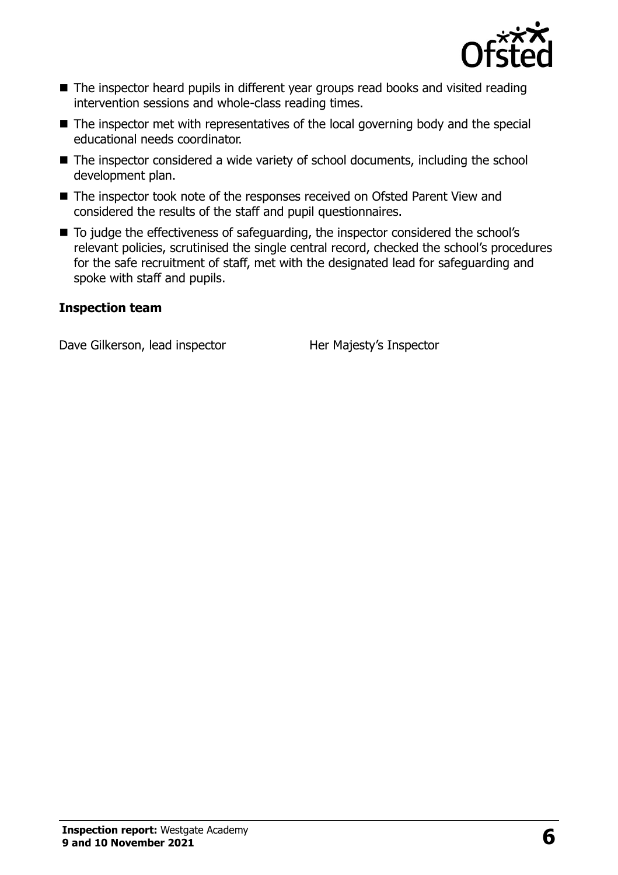

- The inspector heard pupils in different year groups read books and visited reading intervention sessions and whole-class reading times.
- The inspector met with representatives of the local governing body and the special educational needs coordinator.
- The inspector considered a wide variety of school documents, including the school development plan.
- The inspector took note of the responses received on Ofsted Parent View and considered the results of the staff and pupil questionnaires.
- To judge the effectiveness of safeguarding, the inspector considered the school's relevant policies, scrutinised the single central record, checked the school's procedures for the safe recruitment of staff, met with the designated lead for safeguarding and spoke with staff and pupils.

#### **Inspection team**

Dave Gilkerson, lead inspector Her Majesty's Inspector